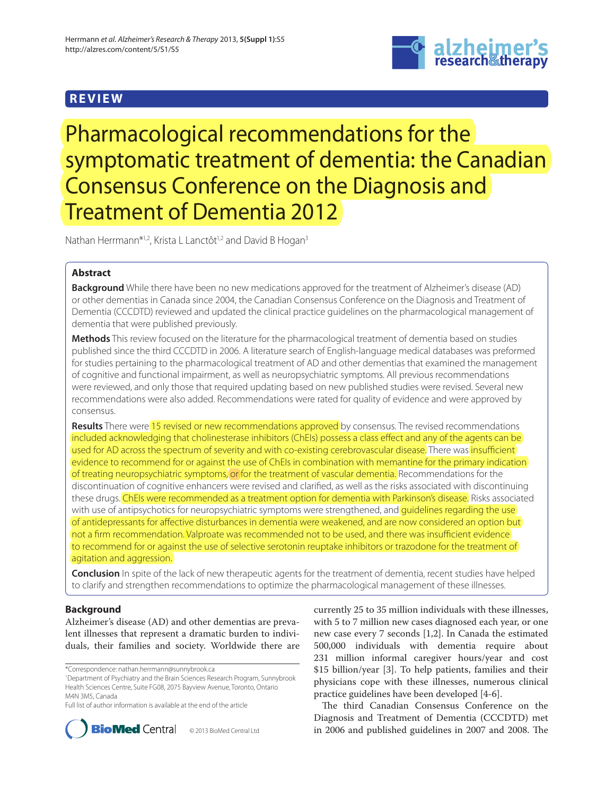# **REVIEW**



Pharmacological recommendations for the symptomatic treatment of dementia: the Canadian Consensus Conference on the Diagnosis and Treatment of Dementia 2012

Nathan Herrmann\*<sup>1,2</sup>, Krista L Lanctôt<sup>1,2</sup> and David B Hogan<sup>3</sup>

# **Abstract**

**Background** While there have been no new medications approved for the treatment of Alzheimer's disease (AD) or other dementias in Canada since 2004, the Canadian Consensus Conference on the Diagnosis and Treatment of Dementia (CCCDTD) reviewed and updated the clinical practice guidelines on the pharmacological management of dementia that were published previously.

**Methods** This review focused on the literature for the pharmacological treatment of dementia based on studies published since the third CCCDTD in 2006. A literature search of English-language medical databases was preformed for studies pertaining to the pharmacological treatment of AD and other dementias that examined the management of cognitive and functional impairment, as well as neuropsychiatric symptoms. All previous recommendations were reviewed, and only those that required updating based on new published studies were revised. Several new recommendations were also added. Recommendations were rated for quality of evidence and were approved by consensus.

**Results** There were 15 revised or new recommendations approved by consensus. The revised recommendations included acknowledging that cholinesterase inhibitors (ChEIs) possess a class effect and any of the agents can be used for AD across the spectrum of severity and with co-existing cerebrovascular disease. There was insufficient evidence to recommend for or against the use of ChEIs in combination with memantine for the primary indication of treating neuropsychiatric symptoms, or for the treatment of vascular dementia. Recommendations for the discontinuation of cognitive enhancers were revised and clarified, as well as the risks associated with discontinuing these drugs. ChEIs were recommended as a treatment option for dementia with Parkinson's disease. Risks associated with use of antipsychotics for neuropsychiatric symptoms were strengthened, and quidelines regarding the use of antidepressants for affective disturbances in dementia were weakened, and are now considered an option but not a firm recommendation. Valproate was recommended not to be used, and there was insufficient evidence to recommend for or against the use of selective serotonin reuptake inhibitors or trazodone for the treatment of agitation and aggression.

**Conclusion** In spite of the lack of new therapeutic agents for the treatment of dementia, recent studies have helped to clarify and strengthen recommendations to optimize the pharmacological management of these illnesses.

# **Background**

Alzheimer's disease (AD) and other dementias are prevalent illnesses that represent a dramatic burden to individuals, their families and society. Worldwide there are

\*Correspondence: nathan.herrmann@sunnybrook.ca

1 Department of Psychiatry and the Brain Sciences Research Program, Sunnybrook Health Sciences Centre, Suite FG08, 2075 Bayview Avenue, Toronto, Ontario M4N 3M5, Canada

Full list of author information is available at the end of the article



© 2013 BioMed Central Ltd

currently 25 to 35 million individuals with these illnesses, with 5 to 7 million new cases diagnosed each year, or one new case every 7 seconds [1,2]. In Canada the estimated 500,000 individuals with dementia require about 231 million informal caregiver hours/year and cost \$15 billion/year [3]. To help patients, families and their physicians cope with these illnesses, numerous clinical practice guidelines have been developed [4-6].

The third Canadian Consensus Conference on the Diagnosis and Treatment of Dementia (CCCDTD) met in 2006 and published guidelines in 2007 and 2008. The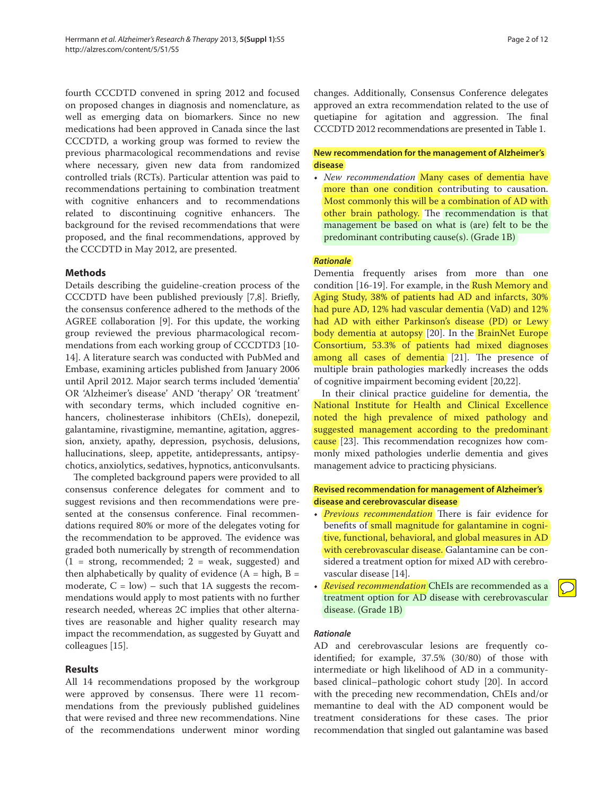fourth CCCDTD convened in spring 2012 and focused on proposed changes in diagnosis and nomenclature, as well as emerging data on biomarkers. Since no new medications had been approved in Canada since the last CCCDTD, a working group was formed to review the previous pharmacological recommendations and revise where necessary, given new data from randomized controlled trials (RCTs). Particular attention was paid to recommendations pertaining to combination treatment with cognitive enhancers and to recommendations related to discontinuing cognitive enhancers. The background for the revised recommendations that were proposed, and the final recommendations, approved by the CCCDTD in May 2012, are presented.

# **Methods**

Details describing the guideline-creation process of the CCCDTD have been published previously [7,8]. Briefly, the consensus conference adhered to the methods of the AGREE collaboration [9]. For this update, the working group reviewed the previous pharmacological recommendations from each working group of CCCDTD3 [10-14]. A literature search was conducted with PubMed and Embase, examining articles published from January 2006 until April 2012. Major search terms included 'dementia' OR 'Alzheimer's disease' AND 'therapy' OR 'treatment' with secondary terms, which included cognitive enhancers, cholinesterase inhibitors (ChEIs), donepezil, galantamine, rivastigmine, memantine, agitation, aggression, anxiety, apathy, depression, psychosis, delusions, hallucinations, sleep, appetite, antidepressants, antipsychotics, anxiolytics, sedatives, hypnotics, anticonvulsants.

The completed background papers were provided to all consensus conference delegates for comment and to suggest revisions and then recommendations were presented at the consensus conference. Final recommendations required 80% or more of the delegates voting for the recommendation to be approved. The evidence was graded both numerically by strength of recommendation  $(1 =$  strong, recommended;  $2 =$  weak, suggested) and then alphabetically by quality of evidence  $(A = high, B =$ moderate,  $C = low$ ) – such that 1A suggests the recommendations would apply to most patients with no further research needed, whereas 2C implies that other alternatives are reasonable and higher quality research may impact the recommendation, as suggested by Guyatt and colleagues [15].

# **Results**

All 14 recommendations proposed by the workgroup were approved by consensus. There were 11 recommendations from the previously published guidelines that were revised and three new recommendations. Nine of the recommendations underwent minor wording changes. Additionally, Consensus Conference delegates approved an extra recommendation related to the use of quetiapine for agitation and aggression. The final CCCDTD 2012 recommendations are presented in Table 1.

# **New recommendation for the management of Alzheimer's disease**

• *New recommendation* Many cases of dementia have more than one condition contributing to causation. Most commonly this will be a combination of AD with other brain pathology. The recommendation is that management be based on what is (are) felt to be the predominant contributing cause(s). (Grade 1B)

### *Rationale*

Dementia frequently arises from more than one condition [16-19]. For example, in the Rush Memory and Aging Study, 38% of patients had AD and infarcts, 30% had pure AD, 12% had vascular dementia (VaD) and 12% had AD with either Parkinson's disease (PD) or Lewy body dementia at autopsy [20]. In the BrainNet Europe Consortium, 53.3% of patients had mixed diagnoses among all cases of dementia [21]. The presence of multiple brain pathologies markedly increases the odds of cognitive impairment becoming evident [20,22].

In their clinical practice guideline for dementia, the National Institute for Health and Clinical Excellence noted the high prevalence of mixed pathology and suggested management according to the predominant cause [23]. This recommendation recognizes how commonly mixed pathologies underlie dementia and gives management advice to practicing physicians.

# **Revised recommendation for management of Alzheimer's disease and cerebrovascular disease**

- *Previous recommendation* There is fair evidence for benefits of small magnitude for galantamine in cognitive, functional, behavioral, and global measures in AD with cerebrovascular disease. Galantamine can be considered a treatment option for mixed AD with cerebrovascular disease [14].
- *Revised recommendation* ChEIs are recommended as a treatment option for AD disease with cerebrovascular disease. (Grade 1B)

### *Rationale*

AD and cerebrovascular lesions are frequently coidentified; for example, 37.5% (30/80) of those with intermediate or high likelihood of AD in a communitybased clinical–pathologic cohort study [20]. In accord with the preceding new recommendation, ChEIs and/or memantine to deal with the AD component would be treatment considerations for these cases. The prior recommendation that singled out galantamine was based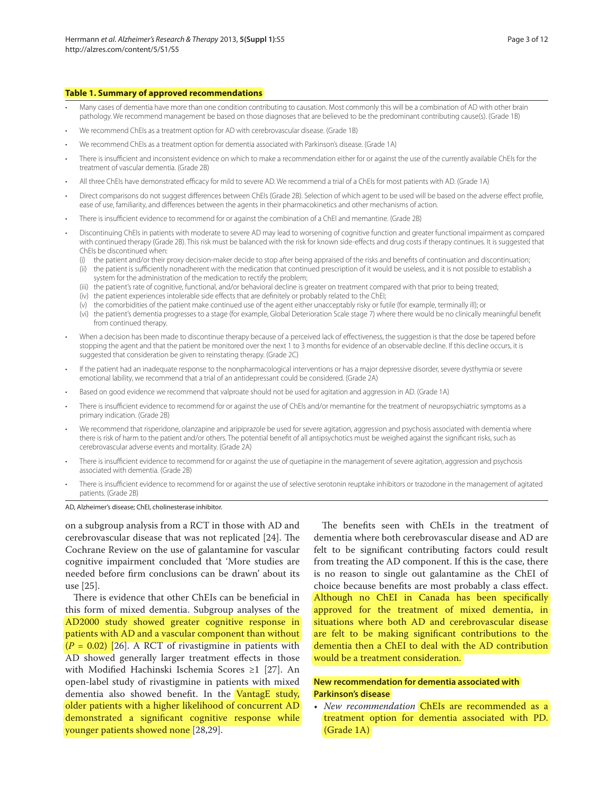#### **Table 1. Summary of approved recommendations**

- Many cases of dementia have more than one condition contributing to causation. Most commonly this will be a combination of AD with other brain pathology. We recommend management be based on those diagnoses that are believed to be the predominant contributing cause(s). (Grade 1B)
- We recommend ChEIs as a treatment option for AD with cerebrovascular disease. (Grade 1B)
- We recommend ChEIs as a treatment option for dementia associated with Parkinson's disease. (Grade 1A)
- There is insufficient and inconsistent evidence on which to make a recommendation either for or against the use of the currently available ChEIs for the treatment of vascular dementia. (Grade 2B)
- All three ChEIs have demonstrated efficacy for mild to severe AD. We recommend a trial of a ChEIs for most patients with AD. (Grade 1A)
- Direct comparisons do not suggest differences between ChEIs (Grade 2B). Selection of which agent to be used will be based on the adverse effect profile, ease of use, familiarity, and differences between the agents in their pharmacokinetics and other mechanisms of action.
- There is insufficient evidence to recommend for or against the combination of a ChEI and memantine. (Grade 2B)
- Discontinuing ChEIs in patients with moderate to severe AD may lead to worsening of cognitive function and greater functional impairment as compared with continued therapy (Grade 2B). This risk must be balanced with the risk for known side-effects and drug costs if therapy continues. It is suggested that ChEIs be discontinued when:
	- (i) the patient and/or their proxy decision-maker decide to stop after being appraised of the risks and benefits of continuation and discontinuation; (ii) the patient is sufficiently nonadherent with the medication that continued prescription of it would be useless, and it is not possible to establish a
		- system for the administration of the medication to rectify the problem;
	- (iii) the patient's rate of cognitive, functional, and/or behavioral decline is greater on treatment compared with that prior to being treated;
	- (iv) the patient experiences intolerable side effects that are definitely or probably related to the ChEI;
	- (v) the comorbidities of the patient make continued use of the agent either unacceptably risky or futile (for example, terminally ill); or
	- (vi) the patient's dementia progresses to a stage (for example, Global Deterioration Scale stage 7) where there would be no clinically meaningful benefit from continued therapy.
- When a decision has been made to discontinue therapy because of a perceived lack of effectiveness, the suggestion is that the dose be tapered before stopping the agent and that the patient be monitored over the next 1 to 3 months for evidence of an observable decline. If this decline occurs, it is suggested that consideration be given to reinstating therapy. (Grade 2C)
- If the patient had an inadequate response to the nonpharmacological interventions or has a major depressive disorder, severe dysthymia or severe emotional lability, we recommend that a trial of an antidepressant could be considered. (Grade 2A)
- Based on good evidence we recommend that valproate should not be used for agitation and aggression in AD. (Grade 1A)
- There is insufficient evidence to recommend for or against the use of ChEIs and/or memantine for the treatment of neuropsychiatric symptoms as a primary indication. (Grade 2B)
- We recommend that risperidone, olanzapine and aripiprazole be used for severe agitation, aggression and psychosis associated with dementia where there is risk of harm to the patient and/or others. The potential benefit of all antipsychotics must be weighed against the significant risks, such as cerebrovascular adverse events and mortality. (Grade 2A)
- There is insufficient evidence to recommend for or against the use of quetiapine in the management of severe agitation, aggression and psychosis associated with dementia. (Grade 2B)
- There is insufficient evidence to recommend for or against the use of selective serotonin reuptake inhibitors or trazodone in the management of agitated patients. (Grade 2B)

AD, Alzheimer's disease; ChEI, cholinesterase inhibitor.

on a subgroup analysis from a RCT in those with AD and cerebrovascular disease that was not replicated [24]. The Cochrane Review on the use of galantamine for vascular cognitive impairment concluded that 'More studies are needed before firm conclusions can be drawn' about its use [25].

There is evidence that other ChEIs can be beneficial in this form of mixed dementia. Subgroup analyses of the AD2000 study showed greater cognitive response in patients with AD and a vascular component than without  $(P = 0.02)$  [26]. A RCT of rivastigmine in patients with AD showed generally larger treatment effects in those with Modified Hachinski Ischemia Scores ≥1 [27]. An open-label study of rivastigmine in patients with mixed dementia also showed benefit. In the VantagE study, older patients with a higher likelihood of concurrent AD demonstrated a significant cognitive response while younger patients showed none [28,29].

The benefits seen with ChEIs in the treatment of dementia where both cerebrovascular disease and AD are felt to be significant contributing factors could result from treating the AD component. If this is the case, there is no reason to single out galantamine as the ChEI of choice because benefits are most probably a class effect. Although no ChEI in Canada has been specifically approved for the treatment of mixed dementia, in situations where both AD and cerebrovascular disease are felt to be making significant contributions to the dementia then a ChEI to deal with the AD contribution would be a treatment consideration.

# **New recommendation for dementia associated with Parkinson's disease**

• *New recommendation* ChEIs are recommended as a treatment option for dementia associated with PD. (Grade 1A)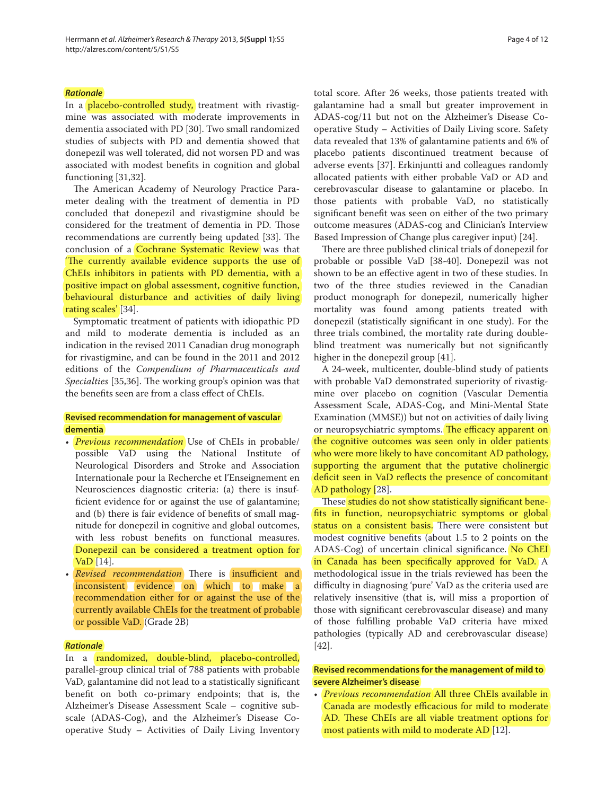#### *Rationale*

In a placebo-controlled study, treatment with rivastigmine was associated with moderate improvements in dementia associated with PD [30]. Two small randomized studies of subjects with PD and dementia showed that donepezil was well tolerated, did not worsen PD and was associated with modest benefits in cognition and global functioning [31,32].

The American Academy of Neurology Practice Parameter dealing with the treatment of dementia in PD concluded that donepezil and rivastigmine should be considered for the treatment of dementia in PD. Those recommendations are currently being updated [33]. The conclusion of a Cochrane Systematic Review was that 'The currently available evidence supports the use of ChEIs inhibitors in patients with PD dementia, with a positive impact on global assessment, cognitive function, behavioural disturbance and activities of daily living rating scales' [34].

Symptomatic treatment of patients with idiopathic PD and mild to moderate dementia is included as an indication in the revised 2011 Canadian drug monograph for rivastigmine, and can be found in the 2011 and 2012 editions of the *Compendium of Pharmaceuticals and Specialties* [35,36]. The working group's opinion was that the benefits seen are from a class effect of ChEIs.

# **Revised recommendation for management of vascular dementia**

- *Previous recommendation* Use of ChEIs in probable/ possible VaD using the National Institute of Neurological Disorders and Stroke and Association Internationale pour la Recherche et l'Enseignement en Neurosciences diagnostic criteria: (a) there is insufficient evidence for or against the use of galantamine; and (b) there is fair evidence of benefits of small magnitude for donepezil in cognitive and global outcomes, with less robust benefits on functional measures. Donepezil can be considered a treatment option for VaD [14].
- *Revised recommendation* There is *insufficient and* inconsistent evidence on which to make a recommendation either for or against the use of the currently available ChEIs for the treatment of probable or possible VaD. (Grade 2B)

#### *Rationale*

In a randomized, double-blind, placebo-controlled, parallel-group clinical trial of 788 patients with probable VaD, galantamine did not lead to a statistically significant benefit on both co-primary endpoints; that is, the Alzheimer's Disease Assessment Scale – cognitive subscale (ADAS-Cog), and the Alzheimer's Disease Cooperative Study – Activities of Daily Living Inventory total score. After 26 weeks, those patients treated with galantamine had a small but greater improvement in ADAS-cog/11 but not on the Alzheimer's Disease Cooperative Study – Activities of Daily Living score. Safety data revealed that 13% of galantamine patients and 6% of placebo patients discontinued treatment because of adverse events [37]. Erkinjuntti and colleagues randomly allocated patients with either probable VaD or AD and cerebrovascular disease to galantamine or placebo. In those patients with probable VaD, no statistically significant benefit was seen on either of the two primary outcome measures (ADAS-cog and Clinician's Interview Based Impression of Change plus caregiver input) [24].

There are three published clinical trials of donepezil for probable or possible VaD [38-40]. Donepezil was not shown to be an effective agent in two of these studies. In two of the three studies reviewed in the Canadian product monograph for donepezil, numerically higher mortality was found among patients treated with donepezil (statistically significant in one study). For the three trials combined, the mortality rate during doubleblind treatment was numerically but not significantly higher in the donepezil group [41].

A 24-week, multicenter, double-blind study of patients with probable VaD demonstrated superiority of rivastigmine over placebo on cognition (Vascular Dementia Assessment Scale, ADAS-Cog, and Mini-Mental State Examination (MMSE)) but not on activities of daily living or neuropsychiatric symptoms. The efficacy apparent on the cognitive outcomes was seen only in older patients who were more likely to have concomitant AD pathology, supporting the argument that the putative cholinergic deficit seen in VaD reflects the presence of concomitant AD pathology [28].

These studies do not show statistically significant benefits in function, neuropsychiatric symptoms or global status on a consistent basis. There were consistent but modest cognitive benefits (about 1.5 to 2 points on the ADAS-Cog) of uncertain clinical significance. No ChEI in Canada has been specifically approved for VaD.  $\overline{A}$ methodological issue in the trials reviewed has been the difficulty in diagnosing 'pure' VaD as the criteria used are relatively insensitive (that is, will miss a proportion of those with significant cerebrovascular disease) and many of those fulfilling probable VaD criteria have mixed pathologies (typically AD and cerebrovascular disease) [42].

# **Revised recommendations for the management of mild to severe Alzheimer's disease**

• *Previous recommendation* All three ChEIs available in Canada are modestly efficacious for mild to moderate AD. These ChEIs are all viable treatment options for most patients with mild to moderate AD [12].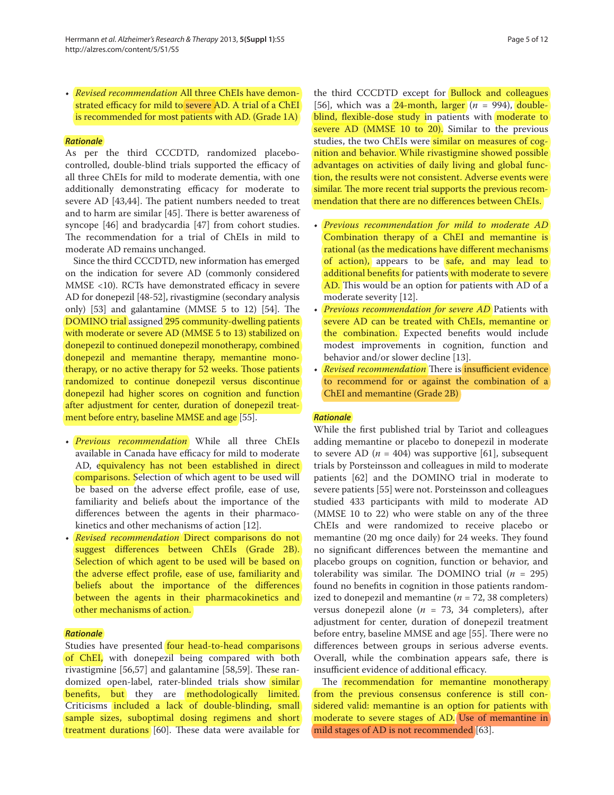• *Revised recommendation* All three ChEIs have demonstrated efficacy for mild to severe AD. A trial of a ChEI is recommended for most patients with AD. (Grade 1A)

### *Rationale*

As per the third CCCDTD, randomized placebocontrolled, double-blind trials supported the efficacy of all three ChEIs for mild to moderate dementia, with one additionally demonstrating efficacy for moderate to severe AD [43,44]. The patient numbers needed to treat and to harm are similar  $[45]$ . There is better awareness of syncope [46] and bradycardia [47] from cohort studies. The recommendation for a trial of ChEIs in mild to moderate AD remains unchanged.

Since the third CCCDTD, new information has emerged on the indication for severe AD (commonly considered  $MMSE$  <10). RCTs have demonstrated efficacy in severe AD for donepezil [48-52], rivastigmine (secondary analysis only)  $[53]$  and galantamine (MMSE 5 to 12)  $[54]$ . The DOMINO trial assigned 295 community-dwelling patients with moderate or severe AD (MMSE 5 to 13) stabilized on donepezil to continued donepezil monotherapy, combined donepezil and memantine therapy, memantine monotherapy, or no active therapy for 52 weeks. Those patients randomized to continue donepezil versus discontinue donepezil had higher scores on cognition and function after adjustment for center, duration of donepezil treatment before entry, baseline MMSE and age [55].

- *Previous recommendation* While all three ChEIs available in Canada have efficacy for mild to moderate AD, equivalency has not been established in direct comparisons. Selection of which agent to be used will be based on the adverse effect profile, ease of use, familiarity and beliefs about the importance of the differences between the agents in their pharmacokinetics and other mechanisms of action [12].
- *Revised recommendation* Direct comparisons do not suggest differences between ChEIs (Grade 2B). Selection of which agent to be used will be based on the adverse effect profile, ease of use, familiarity and beliefs about the importance of the differences between the agents in their pharmacokinetics and other mechanisms of action.

#### *Rationale*

Studies have presented four head-to-head comparisons of ChEI, with donepezil being compared with both rivastigmine  $[56,57]$  and galantamine  $[58,59]$ . These randomized open-label, rater-blinded trials show similar benefits, but they are methodologically limited. Criticisms included a lack of double-blinding, small sample sizes, suboptimal dosing regimens and short treatment durations [60]. These data were available for

the third CCCDTD except for Bullock and colleagues [56], which was a  $24$ -month, larger  $(n = 994)$ , doubleblind, flexible-dose study in patients with moderate to severe AD (MMSE 10 to 20). Similar to the previous studies, the two ChEIs were similar on measures of cognition and behavior. While rivastigmine showed possible advantages on activities of daily living and global function, the results were not consistent. Adverse events were similar. The more recent trial supports the previous recommendation that there are no differences between ChEIs.

- *Previous recommendation for mild to moderate AD*  Combination therapy of a ChEI and memantine is rational (as the medications have different mechanisms of action), appears to be safe, and may lead to additional benefits for patients with moderate to severe AD. This would be an option for patients with AD of a moderate severity [12].
- *Previous recommendation for severe AD* Patients with severe AD can be treated with ChEIs, memantine or the combination. Expected benefits would include modest improvements in cognition, function and behavior and/or slower decline [13].
- *Revised recommendation* There is insufficient evidence to recommend for or against the combination of a ChEI and memantine (Grade 2B)

### *Rationale*

While the first published trial by Tariot and colleagues adding memantine or placebo to donepezil in moderate to severe AD ( $n = 404$ ) was supportive [61], subsequent trials by Porsteinsson and colleagues in mild to moderate patients [62] and the DOMINO trial in moderate to severe patients [55] were not. Porsteinsson and colleagues studied 433 participants with mild to moderate AD (MMSE 10 to 22) who were stable on any of the three ChEIs and were randomized to receive placebo or memantine (20 mg once daily) for 24 weeks. They found no significant differences between the memantine and placebo groups on cognition, function or behavior, and tolerability was similar. The DOMINO trial  $(n = 295)$ found no benefits in cognition in those patients randomized to donepezil and memantine ( $n = 72$ , 38 completers) versus donepezil alone ( $n = 73$ , 34 completers), after adjustment for center, duration of donepezil treatment before entry, baseline MMSE and age [55]. There were no differences between groups in serious adverse events. Overall, while the combination appears safe, there is insufficient evidence of additional efficacy.

The **recommendation** for memantine monotherapy from the previous consensus conference is still considered valid: memantine is an option for patients with moderate to severe stages of AD. Use of memantine in mild stages of AD is not recommended [63].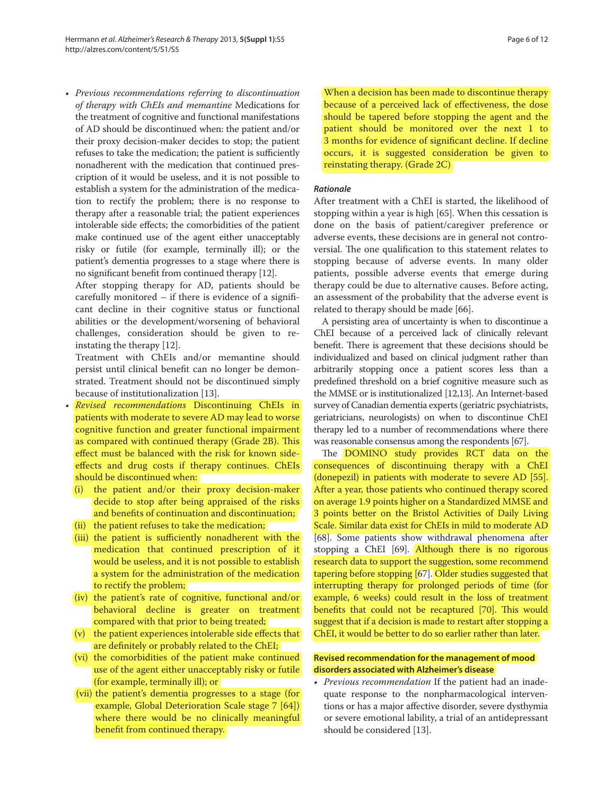• *Previous recommendations referring to discontinuation of therapy with ChEIs and memantine* Medications for the treatment of cognitive and functional manifestations of AD should be discontinued when: the patient and/or their proxy decision-maker decides to stop; the patient refuses to take the medication; the patient is sufficiently nonadherent with the medication that continued prescription of it would be useless, and it is not possible to establish a system for the administration of the medication to rectify the problem; there is no response to therapy after a reasonable trial; the patient experiences intolerable side effects; the comorbidities of the patient make continued use of the agent either unacceptably risky or futile (for example, terminally ill); or the patient's dementia progresses to a stage where there is no significant benefit from continued therapy [12].

 After stopping therapy for AD, patients should be carefully monitored  $-$  if there is evidence of a significant decline in their cognitive status or functional abilities or the development/worsening of behavioral challenges, consideration should be given to reinstating the therapy [12].

 Treatment with ChEIs and/or memantine should persist until clinical benefit can no longer be demonstrated. Treatment should not be discontinued simply because of institutionalization [13].

- *Revised recommendations* Discontinuing ChEIs in patients with moderate to severe AD may lead to worse cognitive function and greater functional impairment as compared with continued therapy (Grade 2B). This effect must be balanced with the risk for known sideeffects and drug costs if therapy continues. ChEIs should be discontinued when:
	- (i) the patient and/or their proxy decision-maker decide to stop after being appraised of the risks and benefits of continuation and discontinuation;
	- (ii) the patient refuses to take the medication;
	- (iii) the patient is sufficiently nonadherent with the medication that continued prescription of it would be useless, and it is not possible to establish a system for the administration of the medication to rectify the problem;
	- (iv) the patient's rate of cognitive, functional and/or behavioral decline is greater on treatment compared with that prior to being treated;
	- $(v)$  the patient experiences intolerable side effects that are definitely or probably related to the ChEI;
	- (vi) the comorbidities of the patient make continued use of the agent either unacceptably risky or futile (for example, terminally ill); or
	- (vii) the patient's dementia progresses to a stage (for example, Global Deterioration Scale stage 7 [64]) where there would be no clinically meaningful benefit from continued therapy.

 When a decision has been made to discontinue therapy because of a perceived lack of effectiveness, the dose should be tapered before stopping the agent and the patient should be monitored over the next 1 to 3 months for evidence of significant decline. If decline occurs, it is suggested consideration be given to reinstating therapy. (Grade 2C)

#### *Rationale*

After treatment with a ChEI is started, the likelihood of stopping within a year is high [65]. When this cessation is done on the basis of patient/caregiver preference or adverse events, these decisions are in general not controversial. The one qualification to this statement relates to stopping because of adverse events. In many older patients, possible adverse events that emerge during therapy could be due to alternative causes. Before acting, an assessment of the probability that the adverse event is related to therapy should be made [66].

A persisting area of uncertainty is when to discontinue a ChEI because of a perceived lack of clinically relevant benefit. There is agreement that these decisions should be individualized and based on clinical judgment rather than arbitrarily stopping once a patient scores less than a predefined threshold on a brief cognitive measure such as the MMSE or is institutionalized [12,13]. An Internet-based survey of Canadian dementia experts (geriatric psychiatrists, geriatricians, neurologists) on when to discontinue ChEI therapy led to a number of recommendations where there was reasonable consensus among the respondents [67].

The DOMINO study provides RCT data on the consequences of discontinuing therapy with a ChEI (donepezil) in patients with moderate to severe AD [55]. After a year, those patients who continued therapy scored on average 1.9 points higher on a Standardized MMSE and 3 points better on the Bristol Activities of Daily Living Scale. Similar data exist for ChEIs in mild to moderate AD [68]. Some patients show withdrawal phenomena after stopping a ChEI [69]. Although there is no rigorous research data to support the suggestion, some recommend tapering before stopping [67]. Older studies suggested that interrupting therapy for prolonged periods of time (for example, 6 weeks) could result in the loss of treatment benefits that could not be recaptured [70]. This would suggest that if a decision is made to restart after stopping a ChEI, it would be better to do so earlier rather than later.

# **Revised recommendation for the management of mood disorders associated with Alzheimer's disease**

• *Previous recommendation* If the patient had an inadequate response to the nonpharmacological interventions or has a major affective disorder, severe dysthymia or severe emotional lability, a trial of an antidepressant should be considered [13].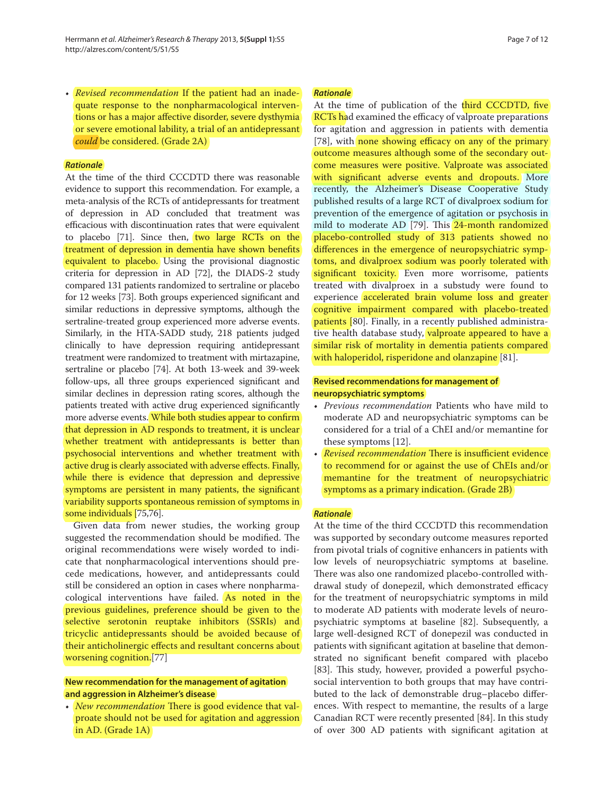• *Revised recommendation* If the patient had an inadequate response to the nonpharmacological interventions or has a major affective disorder, severe dysthymia or severe emotional lability, a trial of an antidepressant *could* be considered. (Grade 2A)

### *Rationale*

At the time of the third CCCDTD there was reasonable evidence to support this recommendation. For example, a meta-analysis of the RCTs of antidepressants for treatment of depression in AD concluded that treatment was efficacious with discontinuation rates that were equivalent to placebo  $[71]$ . Since then, two large RCTs on the treatment of depression in dementia have shown benefits equivalent to placebo. Using the provisional diagnostic criteria for depression in AD [72], the DIADS-2 study compared 131 patients randomized to sertraline or placebo for 12 weeks [73]. Both groups experienced significant and similar reductions in depressive symptoms, although the sertraline-treated group experienced more adverse events. Similarly, in the HTA-SADD study, 218 patients judged clinically to have depression requiring antidepressant treatment were randomized to treatment with mirtazapine, sertraline or placebo [74]. At both 13-week and 39-week follow-ups, all three groups experienced significant and similar declines in depression rating scores, although the patients treated with active drug experienced significantly more adverse events. While both studies appear to confirm that depression in AD responds to treatment, it is unclear whether treatment with antidepressants is better than psychosocial interventions and whether treatment with active drug is clearly associated with adverse effects. Finally, while there is evidence that depression and depressive symptoms are persistent in many patients, the significant variability supports spontaneous remission of symptoms in some individuals [75,76].

Given data from newer studies, the working group suggested the recommendation should be modified. The original recommendations were wisely worded to indicate that nonpharmacological interventions should precede medications, however, and antidepressants could still be considered an option in cases where nonpharmacological interventions have failed. As noted in the previous guidelines, preference should be given to the selective serotonin reuptake inhibitors (SSRIs) and tricyclic antidepressants should be avoided because of their anticholinergic effects and resultant concerns about worsening cognition.[77]

# **New recommendation for the management of agitation and aggression in Alzheimer's disease**

• *New recommendation* There is good evidence that valproate should not be used for agitation and aggression in AD. (Grade 1A)

#### *Rationale*

At the time of publication of the third CCCDTD, five RCTs had examined the efficacy of valproate preparations for agitation and aggression in patients with dementia [78], with none showing efficacy on any of the primary outcome measures although some of the secondary outcome measures were positive. Valproate was associated with significant adverse events and dropouts. More recently, the Alzheimer's Disease Cooperative Study published results of a large RCT of divalproex sodium for prevention of the emergence of agitation or psychosis in mild to moderate AD [79]. This 24-month randomized placebo-controlled study of 313 patients showed no differences in the emergence of neuropsychiatric symptoms, and divalproex sodium was poorly tolerated with significant toxicity. Even more worrisome, patients treated with divalproex in a substudy were found to experience accelerated brain volume loss and greater cognitive impairment compared with placebo-treated patients [80]. Finally, in a recently published administrative health database study, valproate appeared to have a similar risk of mortality in dementia patients compared with haloperidol, risperidone and olanzapine [81].

### **Revised recommendations for management of neuropsychiatric symptoms**

- *Previous recommendation* Patients who have mild to moderate AD and neuropsychiatric symptoms can be considered for a trial of a ChEI and/or memantine for these symptoms [12].
- *Revised recommendation* There is insufficient evidence to recommend for or against the use of ChEIs and/or memantine for the treatment of neuropsychiatric symptoms as a primary indication. (Grade 2B)

#### *Rationale*

At the time of the third CCCDTD this recommendation was supported by secondary outcome measures reported from pivotal trials of cognitive enhancers in patients with low levels of neuropsychiatric symptoms at baseline. There was also one randomized placebo-controlled withdrawal study of donepezil, which demonstrated efficacy for the treatment of neuropsychiatric symptoms in mild to moderate AD patients with moderate levels of neuropsychiatric symptoms at baseline [82]. Subsequently, a large well-designed RCT of donepezil was conducted in patients with significant agitation at baseline that demonstrated no significant benefit compared with placebo [83]. This study, however, provided a powerful psychosocial intervention to both groups that may have contributed to the lack of demonstrable drug-placebo differences. With respect to memantine, the results of a large Canadian RCT were recently presented [84]. In this study of over 300 AD patients with significant agitation at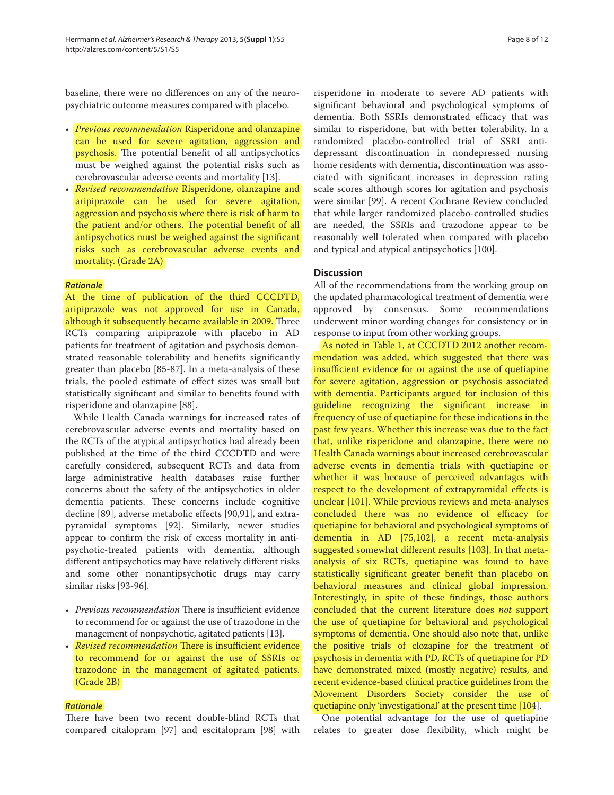baseline, there were no differences on any of the neuropsychiatric outcome measures compared with placebo.

- *Previous recommendation* Risperidone and olanzapine can be used for severe agitation, aggression and psychosis. The potential benefit of all antipsychotics must be weighed against the potential risks such as cerebrovascular adverse events and mortality [13].
- *Revised recommendation* Risperidone, olanzapine and aripiprazole can be used for severe agitation, aggression and psychosis where there is risk of harm to the patient and/or others. The potential benefit of all antipsychotics must be weighed against the significant risks such as cerebrovascular adverse events and mortality. (Grade 2A)

### *Rationale*

At the time of publication of the third CCCDTD, aripiprazole was not approved for use in Canada, although it subsequently became available in 2009. Three RCTs comparing aripiprazole with placebo in AD patients for treatment of agitation and psychosis demonstrated reasonable tolerability and benefits significantly greater than placebo [85-87]. In a meta-analysis of these trials, the pooled estimate of effect sizes was small but statistically significant and similar to benefits found with risperidone and olanzapine [88].

While Health Canada warnings for increased rates of cerebrovascular adverse events and mortality based on the RCTs of the atypical antipsychotics had already been published at the time of the third CCCDTD and were carefully considered, subsequent RCTs and data from large administrative health databases raise further concerns about the safety of the antipsychotics in older dementia patients. These concerns include cognitive decline [89], adverse metabolic effects [90,91], and extrapyramidal symptoms [92]. Similarly, newer studies appear to confirm the risk of excess mortality in antipsychotic-treated patients with dementia, although different antipsychotics may have relatively different risks and some other nonantipsychotic drugs may carry similar risks [93-96].

- *Previous recommendation* There is insufficient evidence to recommend for or against the use of trazodone in the management of nonpsychotic, agitated patients [13].
- *Revised recommendation* There is insufficient evidence to recommend for or against the use of SSRIs or trazodone in the management of agitated patients. (Grade 2B)

### *Rationale*

There have been two recent double-blind RCTs that compared citalopram [97] and escitalopram [98] with risperidone in moderate to severe AD patients with significant behavioral and psychological symptoms of dementia. Both SSRIs demonstrated efficacy that was similar to risperidone, but with better tolerability. In a randomized placebo-controlled trial of SSRI antidepressant discontinuation in nondepressed nursing home residents with dementia, discontinuation was associated with significant increases in depression rating scale scores although scores for agitation and psychosis were similar [99]. A recent Cochrane Review concluded that while larger randomized placebo-controlled studies are needed, the SSRIs and trazodone appear to be reasonably well tolerated when compared with placebo and typical and atypical antipsychotics [100].

#### **Discussion**

All of the recommendations from the working group on the updated pharmacological treatment of dementia were approved by consensus. Some recommendations underwent minor wording changes for consistency or in response to input from other working groups.

As noted in Table 1, at CCCDTD 2012 another recommendation was added, which suggested that there was insufficient evidence for or against the use of quetiapine for severe agitation, aggression or psychosis associated with dementia. Participants argued for inclusion of this guideline recognizing the significant increase in frequency of use of quetiapine for these indications in the past few years. Whether this increase was due to the fact that, unlike risperidone and olanzapine, there were no Health Canada warnings about increased cerebrovascular adverse events in dementia trials with quetiapine or whether it was because of perceived advantages with respect to the development of extrapyramidal effects is unclear [101]. While previous reviews and meta-analyses concluded there was no evidence of efficacy for quetiapine for behavioral and psychological symptoms of dementia in AD [75,102], a recent meta-analysis suggested somewhat different results [103]. In that metaanalysis of six RCTs, quetiapine was found to have statistically significant greater benefit than placebo on behavioral measures and clinical global impression. Interestingly, in spite of these findings, those authors concluded that the current literature does *not* support the use of quetiapine for behavioral and psychological symptoms of dementia. One should also note that, unlike the positive trials of clozapine for the treatment of psychosis in dementia with PD, RCTs of quetiapine for PD have demonstrated mixed (mostly negative) results, and recent evidence-based clinical practice guidelines from the Movement Disorders Society consider the use of quetiapine only 'investigational' at the present time [104].

One potential advantage for the use of quetiapine relates to greater dose flexibility, which might be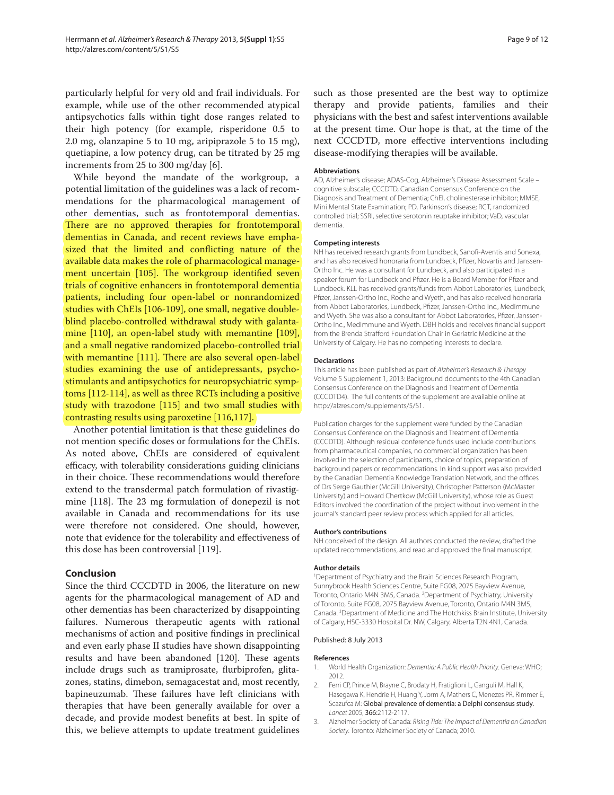particularly helpful for very old and frail individuals. For example, while use of the other recommended atypical antipsychotics falls within tight dose ranges related to their high potency (for example, risperidone 0.5 to 2.0 mg, olanzapine 5 to 10 mg, aripiprazole 5 to 15 mg), quetiapine, a low potency drug, can be titrated by 25 mg increments from 25 to 300 mg/day [6].

While beyond the mandate of the workgroup, a potential limitation of the guidelines was a lack of recommendations for the pharmacological management of other dementias, such as frontotemporal dementias. There are no approved therapies for frontotemporal dementias in Canada, and recent reviews have emphasized that the limited and conflicting nature of the available data makes the role of pharmacological management uncertain  $[105]$ . The workgroup identified seven trials of cognitive enhancers in frontotemporal dementia patients, including four open-label or nonrandomized studies with ChEIs [106-109], one small, negative doubleblind placebo-controlled withdrawal study with galantamine [110], an open-label study with memantine [109], and a small negative randomized placebo-controlled trial with memantine [111]. There are also several open-label studies examining the use of antidepressants, psychostimulants and antipsychotics for neuropsychiatric symptoms [112-114], as well as three RCTs including a positive study with trazodone [115] and two small studies with contrasting results using paroxetine [116,117].

Another potential limitation is that these guidelines do not mention specific doses or formulations for the ChEIs. As noted above, ChEIs are considered of equivalent efficacy, with tolerability considerations guiding clinicians in their choice. These recommendations would therefore extend to the transdermal patch formulation of rivastigmine  $[118]$ . The 23 mg formulation of donepezil is not available in Canada and recommendations for its use were therefore not considered. One should, however, note that evidence for the tolerability and effectiveness of this dose has been controversial [119].

# **Conclusion**

Since the third CCCDTD in 2006, the literature on new agents for the pharmacological management of AD and other dementias has been characterized by disappointing failures. Numerous therapeutic agents with rational mechanisms of action and positive findings in preclinical and even early phase II studies have shown disappointing results and have been abandoned [120]. These agents include drugs such as tramiprosate, flurbiprofen, glitazones, statins, dimebon, semagacestat and, most recently, bapineuzumab. These failures have left clinicians with therapies that have been generally available for over a decade, and provide modest benefits at best. In spite of this, we believe attempts to update treatment guidelines such as those presented are the best way to optimize therapy and provide patients, families and their physicians with the best and safest interventions available at the present time. Our hope is that, at the time of the next CCCDTD, more effective interventions including disease-modifying therapies will be available.

#### **Abbreviations**

AD, Alzheimer's disease; ADAS-Cog, Alzheimer's Disease Assessment Scale – cognitive subscale; CCCDTD, Canadian Consensus Conference on the Diagnosis and Treatment of Dementia; ChEI, cholinesterase inhibitor; MMSE, Mini Mental State Examination; PD, Parkinson's disease; RCT, randomized controlled trial; SSRI, selective serotonin reuptake inhibitor; VaD, vascular dementia.

#### **Competing interests**

NH has received research grants from Lundbeck, Sanofi-Aventis and Sonexa, and has also received honoraria from Lundbeck, Pfizer, Novartis and Janssen-Ortho Inc. He was a consultant for Lundbeck, and also participated in a speaker forum for Lundbeck and Pfizer. He is a Board Member for Pfizer and Lundbeck. KLL has received grants/funds from Abbot Laboratories, Lundbeck, Pfizer, Janssen-Ortho Inc., Roche and Wyeth, and has also received honoraria from Abbot Laboratories, Lundbeck, Pfizer, Janssen-Ortho Inc., MedImmune and Wyeth. She was also a consultant for Abbot Laboratories, Pfizer, Janssen-Ortho Inc., MedImmune and Wyeth. DBH holds and receives financial support from the Brenda Strafford Foundation Chair in Geriatric Medicine at the University of Calgary. He has no competing interests to declare.

#### **Declarations**

This article has been published as part of Alzheimer's Research & Therapy Volume 5 Supplement 1, 2013: Background documents to the 4th Canadian Consensus Conference on the Diagnosis and Treatment of Dementia (CCCDTD4). The full contents of the supplement are available online at http://alzres.com/supplements/5/S1.

Publication charges for the supplement were funded by the Canadian Consensus Conference on the Diagnosis and Treatment of Dementia (CCCDTD). Although residual conference funds used include contributions from pharmaceutical companies, no commercial organization has been involved in the selection of participants, choice of topics, preparation of background papers or recommendations. In kind support was also provided by the Canadian Dementia Knowledge Translation Network, and the offices of Drs Serge Gauthier (McGill University), Christopher Patterson (McMaster University) and Howard Chertkow (McGill University), whose role as Guest Editors involved the coordination of the project without involvement in the journal's standard peer review process which applied for all articles.

#### **Author's contributions**

NH conceived of the design. All authors conducted the review, drafted the updated recommendations, and read and approved the final manuscript.

#### **Author details**

1 Department of Psychiatry and the Brain Sciences Research Program, Sunnybrook Health Sciences Centre, Suite FG08, 2075 Bayview Avenue, Toronto, Ontario M4N 3M5, Canada. <sup>2</sup>Department of Psychiatry, University of Toronto, Suite FG08, 2075 Bayview Avenue, Toronto, Ontario M4N 3M5, Canada. <sup>3</sup> Department of Medicine and The Hotchkiss Brain Institute, University of Calgary, HSC-3330 Hospital Dr. NW, Calgary, Alberta T2N 4N1, Canada.

#### Published: 8 July 2013

#### **References**

- 1. World Health Organization: Dementia: A Public Health Priority. Geneva: WHO; 2012.
- 2. Ferri CP, Prince M, Brayne C, Brodaty H, Fratiglioni L, Ganguli M, Hall K, Hasegawa K, Hendrie H, Huang Y, Jorm A, Mathers C, Menezes PR, Rimmer E, Scazufca M: Global prevalence of dementia: a Delphi consensus study. Lancet 2005, 366:2112-2117.
- 3. Alzheimer Society of Canada: Rising Tide: The Impact of Dementia on Canadian Society. Toronto: Alzheimer Society of Canada; 2010.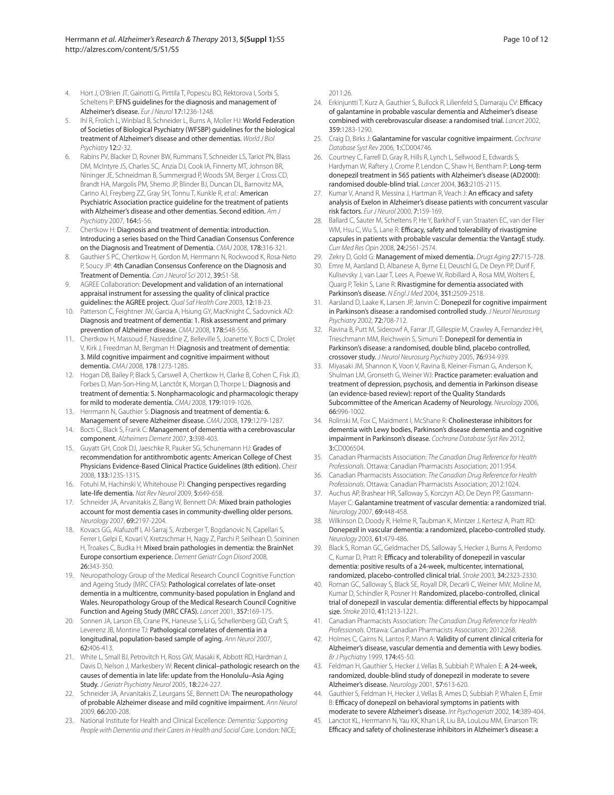- 4. Hort J, O'Brien JT, Gainotti G, Pirttila T, Popescu BO, Rektorova I, Sorbi S, Scheltens P: EFNS guidelines for the diagnosis and management of Alzheimer's disease. Eur J Neurol 17:1236-1248.
- Ihl R, Frolich L, Winblad B, Schneider L, Burns A, Moller HJ: World Federation of Societies of Biological Psychiatry (WFSBP) guidelines for the biological treatment of Alzheimer's disease and other dementias. World J Biol Psychiatry 12:2-32.
- 6. Rabins PV, Blacker D, Rovner BW, Rummans T, Schneider LS, Tariot PN, Blass DM, McIntyre JS, Charles SC, Anzia DJ, Cook IA, Finnerty MT, Johnson BR, Nininger JE, Schneidman B, Summergrad P, Woods SM, Berger J, Cross CD, Brandt HA, Margolis PM, Shemo JP, Blinder BJ, Duncan DL, Barnovitz MA, Carino AJ, Freyberg ZZ, Gray SH, Tonnu T, Kunkle R, et al.: American Psychiatric Association practice guideline for the treatment of patients with Alzheimer's disease and other dementias. Second edition. Am J Psychiatry 2007, 164:5-56.
- 7. Chertkow H: Diagnosis and treatment of dementia: introduction. Introducing a series based on the Third Canadian Consensus Conference on the Diagnosis and Treatment of Dementia. CMAJ 2008, 178:316-321.
- Gauthier S PC, Chertkow H, Gordon M, Herrmann N, Rockwood K, Rosa-Neto P, Soucy JP: 4th Canadian Consensus Conference on the Diagnosis and Treatment of Dementia. Can J Neurol Sci 2012, 39:S1-S8.
- AGREE Collaboration: Development and validation of an international appraisal instrument for assessing the quality of clinical practice guidelines: the AGREE project. Qual Saf Health Care 2003, 12:18-23.
- 10. Patterson C, Feightner JW, Garcia A, Hsiung GY, MacKnight C, Sadovnick AD: Diagnosis and treatment of dementia: 1. Risk assessment and primary prevention of Alzheimer disease. CMAJ 2008, 178:548-556.
- 11. Chertkow H, Massoud F, Nasreddine Z, Belleville S, Joanette Y, Bocti C, Drolet V, Kirk J, Freedman M, Bergman H: Diagnosis and treatment of dementia: 3. Mild cognitive impairment and cognitive impairment without dementia. CMAJ 2008, 178:1273-1285.
- 12. Hogan DB, Bailey P, Black S, Carswell A, Chertkow H, Clarke B, Cohen C, Fisk JD, Forbes D, Man-Son-Hing M, Lanctôt K, Morgan D, Thorpe L: Diagnosis and treatment of dementia: 5. Nonpharmacologic and pharmacologic therapy for mild to moderate dementia. CMAJ 2008, 179:1019-1026.
- 13. Herrmann N, Gauthier S: Diagnosis and treatment of dementia: 6. Management of severe Alzheimer disease. CMAJ 2008, 179:1279-1287.
- 14. Bocti C, Black S, Frank C: Management of dementia with a cerebrovascular component. Alzheimers Dement 2007, 3:398-403.
- 15. Guyatt GH, Cook DJ, Jaeschke R, Pauker SG, Schunemann HJ: Grades of recommendation for antithrombotic agents: American College of Chest Physicians Evidence-Based Clinical Practice Guidelines (8th edition). Chest 2008, 133:123S-131S.
- 16. Fotuhi M, Hachinski V, Whitehouse PJ: Changing perspectives regarding late-life dementia. Nat Rev Neurol 2009, 5:649-658.
- 17. Schneider JA, Arvanitakis Z, Bang W, Bennett DA: Mixed brain pathologies account for most dementia cases in community-dwelling older persons. Neurology 2007, 69:2197-2204.
- 18. Kovacs GG, Alafuzoff I, Al-Sarraj S, Arzberger T, Bogdanovic N, Capellari S, Ferrer I, Gelpi E, Kovari V, Kretzschmar H, Nagy Z, Parchi P, Seilhean D, Soininen H, Troakes C, Budka H: Mixed brain pathologies in dementia: the BrainNet Europe consortium experience. Dement Geriatr Cogn Disord 2008, 26:343-350.
- 19. Neuropathology Group of the Medical Research Council Cognitive Function and Ageing Study (MRC CFAS): Pathological correlates of late-onset dementia in a multicentre, community-based population in England and Wales. Neuropathology Group of the Medical Research Council Cognitive Function and Ageing Study (MRC CFAS). Lancet 2001, 357:169-175.
- 20. Sonnen JA, Larson EB, Crane PK, Haneuse S, Li G, Schellenberg GD, Craft S, Leverenz JB, Montine TJ: Pathological correlates of dementia in a longitudinal, population-based sample of aging. Ann Neurol 2007, 62:406-413.
- 21. White L, Small BJ, Petrovitch H, Ross GW, Masaki K, Abbott RD, Hardman J, Davis D, Nelson J, Markesbery W: Recent clinical–pathologic research on the causes of dementia in late life: update from the Honolulu–Asia Aging Study. J Geriatr Psychiatry Neurol 2005, 18:224-227.
- 22. Schneider JA, Arvanitakis Z, Leurgans SE, Bennett DA: The neuropathology of probable Alzheimer disease and mild cognitive impairment. Ann Neurol 2009, 66:200-208.
- 23. National Institute for Health and Clinical Excellence: Dementia: Supporting People with Dementia and their Carers in Health and Social Care. London: NICE;

2011:26.

- 24. Erkinjuntti T, Kurz A, Gauthier S, Bullock R, Lilienfeld S, Damaraju CV: Efficacy of galantamine in probable vascular dementia and Alzheimer's disease combined with cerebrovascular disease: a randomised trial. Lancet 2002, 359:1283-1290.
- 25. Craig D, Birks J: Galantamine for vascular cognitive impairment. Cochrane Database Syst Rev 2006, 1:CD004746.
- 26. Courtney C, Farrell D, Gray R, Hills R, Lynch L, Sellwood E, Edwards S, Hardyman W, Raftery J, Crome P, Lendon C, Shaw H, Bentham P: Long-term donepezil treatment in 565 patients with Alzheimer's disease (AD2000): randomised double-blind trial. Lancet 2004, 363:2105-2115.
- 27. Kumar V, Anand R, Messina J, Hartman R, Veach J: An efficacy and safety analysis of Exelon in Alzheimer's disease patients with concurrent vascular risk factors. Eur J Neurol 2000, 7:159-169.
- 28. Ballard C, Sauter M, Scheltens P, He Y, Barkhof F, van Straaten EC, van der Flier WM, Hsu C, Wu S, Lane R: Efficacy, safety and tolerability of rivastigmine capsules in patients with probable vascular dementia: the VantagE study. Curr Med Res Opin 2008, 24:2561-2574.
- 29. Zekry D, Gold G: Management of mixed dementia. Drugs Aging 27:715-728.
- 30. Emre M, Aarsland D, Albanese A, Byrne EJ, Deuschl G, De Deyn PP, Durif F, Kulisevsky J, van Laar T, Lees A, Poewe W, Robillard A, Rosa MM, Wolters E, Quarg P, Tekin S, Lane R: Rivastigmine for dementia associated with Parkinson's disease. N Engl J Med 2004, 351:2509-2518.
- Aarsland D, Laake K, Larsen JP, Janvin C: Donepezil for cognitive impairment in Parkinson's disease: a randomised controlled study. J Neurol Neurosurg Psychiatry 2002, 72:708-712.
- 32. Ravina B, Putt M, Siderowf A, Farrar JT, Gillespie M, Crawley A, Fernandez HH, Trieschmann MM, Reichwein S, Simuni T: Donepezil for dementia in Parkinson's disease: a randomised, double blind, placebo controlled, crossover study. J Neurol Neurosurg Psychiatry 2005, 76:934-939.
- 33. Miyasaki JM, Shannon K, Voon V, Ravina B, Kleiner-Fisman G, Anderson K, Shulman LM, Gronseth G, Weiner WJ: Practice parameter: evaluation and treatment of depression, psychosis, and dementia in Parkinson disease (an evidence-based review): report of the Quality Standards Subcommittee of the American Academy of Neurology. Neurology 2006, 66:996-1002.
- 34. Rolinski M, Fox C, Maidment I, McShane R: Cholinesterase inhibitors for dementia with Lewy bodies, Parkinson's disease dementia and cognitive impairment in Parkinson's disease. Cochrane Database Syst Rev 2012, 3:CD006504.
- 35. Canadian Pharmacists Association: The Canadian Drug Reference for Health Professionals. Ottawa: Canadian Pharmacists Association; 2011:954.
- 36. Canadian Pharmacists Association: The Canadian Drug Reference for Health Professionals. Ottawa: Canadian Pharmacists Association; 2012:1024.
- 37. Auchus AP, Brashear HR, Salloway S, Korczyn AD, De Deyn PP, Gassmann-Mayer C: Galantamine treatment of vascular dementia: a randomized trial. Neurology 2007, 69:448-458.
- 38. Wilkinson D, Doody R, Helme R, Taubman K, Mintzer J, Kertesz A, Pratt RD: Donepezil in vascular dementia: a randomized, placebo-controlled study. Neurology 2003, 61:479-486.
- 39. Black S, Roman GC, Geldmacher DS, Salloway S, Hecker J, Burns A, Perdomo C, Kumar D, Pratt R: Efficacy and tolerability of donepezil in vascular dementia: positive results of a 24-week, multicenter, international, randomized, placebo-controlled clinical trial. Stroke 2003, 34:2323-2330.
- 40. Roman GC, Salloway S, Black SE, Royall DR, Decarli C, Weiner MW, Moline M, Kumar D, Schindler R, Posner H: Randomized, placebo-controlled, clinical trial of donepezil in vascular dementia: differential effects by hippocampal size. Stroke 2010, 41:1213-1221.
- 41. Canadian Pharmacists Association: The Canadian Drug Reference for Health Professionals. Ottawa: Canadian Pharmacists Association; 2012:268.
- 42. Holmes C, Cairns N, Lantos P, Mann A: Validity of current clinical criteria for Alzheimer's disease, vascular dementia and dementia with Lewy bodies. Br J Psychiatry 1999, 174:45-50.
- 43. Feldman H, Gauthier S, Hecker J, Vellas B, Subbiah P, Whalen E: A 24-week, randomized, double-blind study of donepezil in moderate to severe Alzheimer's disease. Neurology 2001, 57:613-620.
- 44. Gauthier S, Feldman H, Hecker J, Vellas B, Ames D, Subbiah P, Whalen E, Emir B: Efficacy of donepezil on behavioral symptoms in patients with moderate to severe Alzheimer's disease. Int Psychogeriatr 2002, 14:389-404.
- 45. Lanctot KL, Herrmann N, Yau KK, Khan LR, Liu BA, LouLou MM, Einarson TR: Efficacy and safety of cholinesterase inhibitors in Alzheimer's disease: a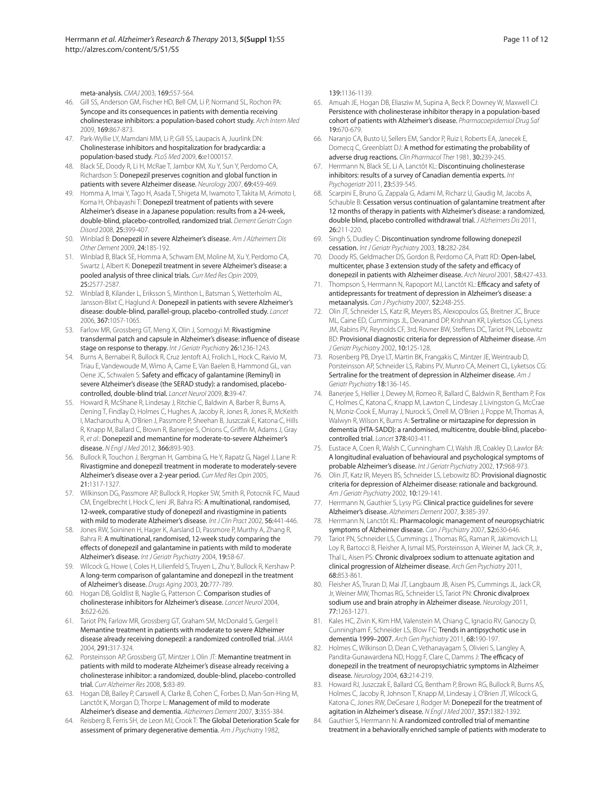meta-analysis. CMAJ 2003, 169:557-564.

- 46. Gill SS, Anderson GM, Fischer HD, Bell CM, Li P, Normand SL, Rochon PA: Syncope and its consequences in patients with dementia receiving cholinesterase inhibitors: a population-based cohort study. Arch Intern Med 2009, 169:867-873.
- 47. Park-Wyllie LY, Mamdani MM, Li P, Gill SS, Laupacis A, Juurlink DN: Cholinesterase inhibitors and hospitalization for bradycardia: a population-based study. PLoS Med 2009, 6:e1000157.
- 48. Black SE, Doody R, Li H, McRae T, Jambor KM, Xu Y, Sun Y, Perdomo CA, Richardson S: Donepezil preserves cognition and global function in patients with severe Alzheimer disease. Neurology 2007, 69:459-469.
- 49. Homma A, Imai Y, Tago H, Asada T, Shigeta M, Iwamoto T, Takita M, Arimoto I, Koma H, Ohbayashi T: Donepezil treatment of patients with severe Alzheimer's disease in a Japanese population: results from a 24-week, double-blind, placebo-controlled, randomized trial. Dement Geriatr Cogn Disord 2008, 25:399-407.
- 50. Winblad B: Donepezil in severe Alzheimer's disease. Am J Alzheimers Dis Other Dement 2009, 24:185-192.
- 51. Winblad B, Black SE, Homma A, Schwam EM, Moline M, Xu Y, Perdomo CA, Swartz J, Albert K: Donepezil treatment in severe Alzheimer's disease: a pooled analysis of three clinical trials. Curr Med Res Opin 2009, 25:2577-2587.
- 52. Winblad B, Kilander L, Eriksson S, Minthon L, Batsman S, Wetterholm AL, Jansson-Blixt C, Haglund A: Donepezil in patients with severe Alzheimer's disease: double-blind, parallel-group, placebo-controlled study. Lancet 2006, 367:1057-1065.
- 53. Farlow MR, Grossberg GT, Meng X, Olin J, Somogyi M: Rivastigmine transdermal patch and capsule in Alzheimer's disease: influence of disease stage on response to therapy. Int J Geriatr Psychiatry 26:1236-1243.
- 54. Burns A, Bernabei R, Bullock R, Cruz Jentoft AJ, Frolich L, Hock C, Raivio M, Triau E, Vandewoude M, Wimo A, Came E, Van Baelen B, Hammond GL, van Oene JC, Schwalen S: Safety and efficacy of galantamine (Reminyl) in severe Alzheimer's disease (the SERAD study): a randomised, placebocontrolled, double-blind trial. Lancet Neurol 2009, 8:39-47.
- 55. Howard R, McShane R, Lindesay J, Ritchie C, Baldwin A, Barber R, Burns A, Dening T, Findlay D, Holmes C, Hughes A, Jacoby R, Jones R, Jones R, McKeith I, Macharouthu A, O'Brien J, Passmore P, Sheehan B, Juszczak E, Katona C, Hills R, Knapp M, Ballard C, Brown R, Banerjee S, Onions C, Griffin M, Adams J, Gray R, et al.: Donepezil and memantine for moderate-to-severe Alzheimer's disease. N Engl J Med 2012, 366:893-903.
- 56. Bullock R, Touchon J, Bergman H, Gambina G, He Y, Rapatz G, Nagel J, Lane R: Rivastigmine and donepezil treatment in moderate to moderately-severe Alzheimer's disease over a 2-year period. Curr Med Res Opin 2005, 21:1317-1327.
- 57. Wilkinson DG, Passmore AP, Bullock R, Hopker SW, Smith R, Potocnik FC, Maud CM, Engelbrecht I, Hock C, Ieni JR, Bahra RS: A multinational, randomised, 12-week, comparative study of donepezil and rivastigmine in patients with mild to moderate Alzheimer's disease. Int J Clin Pract 2002, 56:441-446.
- 58. Jones RW, Soininen H, Hager K, Aarsland D, Passmore P, Murthy A, Zhang R, Bahra R: A multinational, randomised, 12-week study comparing the effects of donepezil and galantamine in patients with mild to moderate Alzheimer's disease. Int J Geriatr Psychiatry 2004, 19:58-67.
- 59. Wilcock G, Howe I, Coles H, Lilienfeld S, Truyen L, Zhu Y, Bullock R, Kershaw P: A long-term comparison of galantamine and donepezil in the treatment of Alzheimer's disease. Drugs Aging 2003, 20:777-789.
- 60. Hogan DB, Goldlist B, Naglie G, Patterson C: Comparison studies of cholinesterase inhibitors for Alzheimer's disease. Lancet Neurol 2004, 3:622-626.
- 61. Tariot PN, Farlow MR, Grossberg GT, Graham SM, McDonald S, Gergel I: Memantine treatment in patients with moderate to severe Alzheimer disease already receiving donepezil: a randomized controlled trial. JAMA 2004, 291:317-324.
- 62. Porsteinsson AP, Grossberg GT, Mintzer J, Olin JT: Memantine treatment in patients with mild to moderate Alzheimer's disease already receiving a cholinesterase inhibitor: a randomized, double-blind, placebo-controlled trial. Curr Alzheimer Res 2008, 5:83-89.
- 63. Hogan DB, Bailey P, Carswell A, Clarke B, Cohen C, Forbes D, Man-Son-Hing M, Lanctôt K, Morgan D, Thorpe L: Management of mild to moderate Alzheimer's disease and dementia. Alzheimers Dement 2007, 3:355-384.
- 64. Reisberg B, Ferris SH, de Leon MJ, Crook T: The Global Deterioration Scale for assessment of primary degenerative dementia. Am J Psychiatry 1982,

139:1136-1139.

- 65. Amuah JE, Hogan DB, Eliasziw M, Supina A, Beck P, Downey W, Maxwell CJ: Persistence with cholinesterase inhibitor therapy in a population-based cohort of patients with Alzheimer's disease. Pharmacoepidemiol Drug Saf 19:670-679.
- 66. Naranjo CA, Busto U, Sellers EM, Sandor P, Ruiz I, Roberts EA, Janecek E, Domecq C, Greenblatt DJ: A method for estimating the probability of adverse drug reactions. Clin Pharmacol Ther 1981, 30:239-245.
- 67. Herrmann N, Black SE, Li A, Lanctôt KL: Discontinuing cholinesterase inhibitors: results of a survey of Canadian dementia experts. Int Psychogeriatr 2011, 23:539-545.
- 68. Scarpini E, Bruno G, Zappala G, Adami M, Richarz U, Gaudig M, Jacobs A, Schauble B: Cessation versus continuation of galantamine treatment after 12 months of therapy in patients with Alzheimer's disease: a randomized, double blind, placebo controlled withdrawal trial. J Alzheimers Dis 2011, 26:211-220.
- 69. Singh S, Dudley C: Discontinuation syndrome following donepezil cessation. Int J Geriatr Psychiatry 2003, 18:282-284.
- 70. Doody RS, Geldmacher DS, Gordon B, Perdomo CA, Pratt RD: Open-label, multicenter, phase 3 extension study of the safety and efficacy of donepezil in patients with Alzheimer disease. Arch Neurol 2001, 58:427-433.
- 71. Thompson S, Herrmann N, Rapoport MJ, Lanctôt KL: Efficacy and safety of antidepressants for treatment of depression in Alzheimer's disease: a metaanalysis. Can J Psychiatry 2007, 52:248-255.
- 72. Olin JT, Schneider LS, Katz IR, Meyers BS, Alexopoulos GS, Breitner JC, Bruce ML, Caine ED, Cummings JL, Devanand DP, Krishnan KR, Lyketsos CG, Lyness JM, Rabins PV, Reynolds CF, 3rd, Rovner BW, Steffens DC, Tariot PN, Lebowitz BD: Provisional diagnostic criteria for depression of Alzheimer disease. Am J Geriatr Psychiatry 2002, 10:125-128.
- 73. Rosenberg PB, Drye LT, Martin BK, Frangakis C, Mintzer JE, Weintraub D, Porsteinsson AP, Schneider LS, Rabins PV, Munro CA, Meinert CL, Lyketsos CG: Sertraline for the treatment of depression in Alzheimer disease. Am J Geriatr Psychiatry 18:136-145.
- 74. Banerjee S, Hellier J, Dewey M, Romeo R, Ballard C, Baldwin R, Bentham P, Fox C, Holmes C, Katona C, Knapp M, Lawton C, Lindesay J, Livingston G, McCrae N, Moniz-Cook E, Murray J, Nurock S, Orrell M, O'Brien J, Poppe M, Thomas A, Walwyn R, Wilson K, Burns A: Sertraline or mirtazapine for depression in dementia (HTA-SADD): a randomised, multicentre, double-blind, placebocontrolled trial. Lancet 378:403-411.
- 75. Eustace A, Coen R, Walsh C, Cunningham CJ, Walsh JB, Coakley D, Lawlor BA: A longitudinal evaluation of behavioural and psychological symptoms of probable Alzheimer's disease. Int J Geriatr Psychiatry 2002, 17:968-973.
- 76. Olin JT, Katz IR, Meyers BS, Schneider LS, Lebowitz BD: Provisional diagnostic criteria for depression of Alzheimer disease: rationale and background. Am J Geriatr Psychiatry 2002, 10:129-141.
- 77. Herrmann N, Gauthier S, Lysy PG: Clinical practice guidelines for severe Alzheimer's disease. Alzheimers Dement 2007, 3:385-397.
- 78. Herrmann N, Lanctôt KL: Pharmacologic management of neuropsychiatric symptoms of Alzheimer disease. Can J Psychiatry 2007, 52:630-646.
- 79. Tariot PN, Schneider LS, Cummings J, Thomas RG, Raman R, Jakimovich LJ, Loy R, Bartocci B, Fleisher A, Ismail MS, Porsteinsson A, Weiner M, Jack CR, Jr., Thal L, Aisen PS: Chronic divalproex sodium to attenuate agitation and clinical progression of Alzheimer disease. Arch Gen Psychiatry 2011, 68:853-861.
- 80. Fleisher AS, Truran D, Mai JT, Langbaum JB, Aisen PS, Cummings JL, Jack CR, Jr, Weiner MW, Thomas RG, Schneider LS, Tariot PN: Chronic divalproex sodium use and brain atrophy in Alzheimer disease. Neurology 2011, 77:1263-1271.
- 81. Kales HC, Zivin K, Kim HM, Valenstein M, Chiang C, Ignacio RV, Ganoczy D, Cunningham F, Schneider LS, Blow FC: Trends in antipsychotic use in dementia 1999–2007. Arch Gen Psychiatry 2011, 68:190-197.
- 82. Holmes C, Wilkinson D, Dean C, Vethanayagam S, Olivieri S, Langley A, Pandita-Gunawardena ND, Hogg F, Clare C, Damms J: The efficacy of donepezil in the treatment of neuropsychiatric symptoms in Alzheimer disease. Neurology 2004, 63:214-219.
- 83. Howard RJ, Juszczak E, Ballard CG, Bentham P, Brown RG, Bullock R, Burns AS, Holmes C, Jacoby R, Johnson T, Knapp M, Lindesay J, O'Brien JT, Wilcock G, Katona C, Jones RW, DeCesare J, Rodger M: Donepezil for the treatment of agitation in Alzheimer's disease. N Engl J Med 2007, 357:1382-1392.
- 84. Gauthier S, Herrmann N: A randomized controlled trial of memantine treatment in a behaviorally enriched sample of patients with moderate to